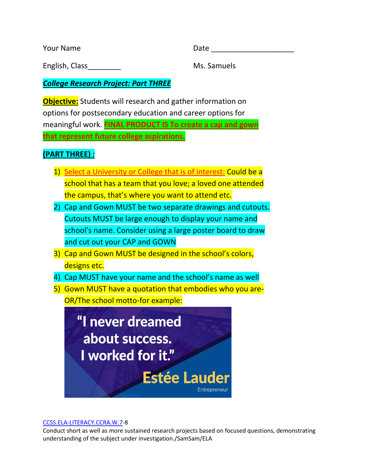Your Name Date and Date Date Date Date Date

English, Class\_\_\_\_\_\_\_\_ Ms. Samuels

*College Research Project: Part THREE*

**Objective:** Students will research and gather information on options for postsecondary education and career options for meaningful work. **FINAL PRODUCT IS To create a cap and gown that represent future college aspirations.**

## **(PART THREE) :**

- 1) Select a University or College that is of interest: Could be a school that has a team that you love; a loved one attended the campus, that's where you want to attend etc.
- 2) Cap and Gown MUST be two separate drawings and cutouts. Cutouts MUST be large enough to display your name and school's name. Consider using a large poster board to draw and cut out your CAP and GOWN
- 3) Cap and Gown MUST be designed in the school's colors, designs etc.
- 4) Cap MUST have your name and the school's name as well
- 5) Gown MUST have a quotation that embodies who you are-OR/The school motto-for example:



## [CCSS.ELA-LITERACY.CCRA.W.7-](http://www.corestandards.org/ELA-Literacy/CCRA/W/7/)8

Conduct short as well as more sustained research projects based on focused questions, demonstrating understanding of the subject under investigation./SamSam/ELA